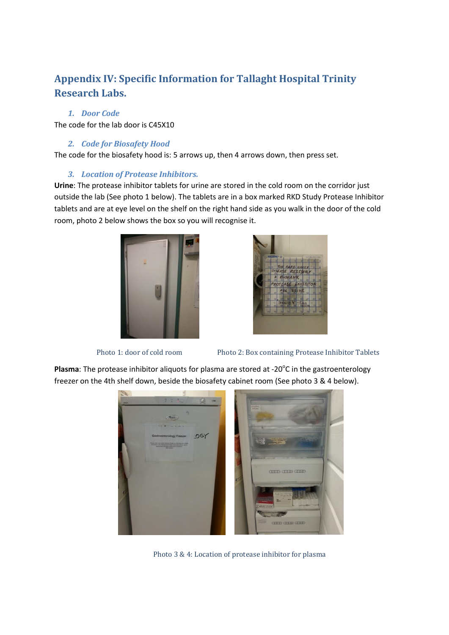# **Appendix IV: Specific Information for Tallaght Hospital Trinity Research Labs.**

#### *1. Door Code*

The code for the lab door is C45X10

#### *2. Code for Biosafety Hood*

The code for the biosafety hood is: 5 arrows up, then 4 arrows down, then press set.

#### *3. Location of Protease Inhibitors.*

**Urine**: The protease inhibitor tablets for urine are stored in the cold room on the corridor just outside the lab (See photo 1 below). The tablets are in a box marked RKD Study Protease Inhibitor tablets and are at eye level on the shelf on the right hand side as you walk in the door of the cold room, photo 2 below shows the box so you will recognise it.





Photo 1: door of cold room Photo 2: Box containing Protease Inhibitor Tablets

Plasma: The protease inhibitor aliquots for plasma are stored at -20°C in the gastroenterology freezer on the 4th shelf down, beside the biosafety cabinet room (See photo 3 & 4 below).



Photo 3 & 4: Location of protease inhibitor for plasma